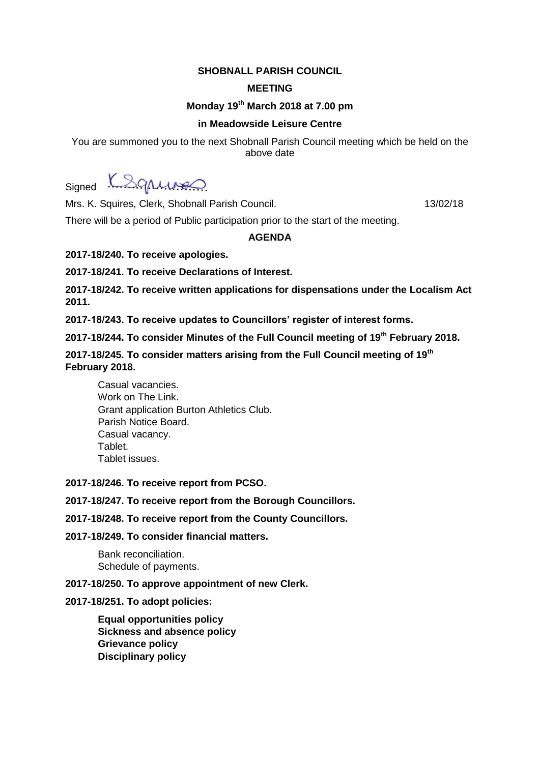## **SHOBNALL PARISH COUNCIL**

## **MEETING**

# **Monday 19th March 2018 at 7.00 pm**

## **in Meadowside Leisure Centre**

You are summoned you to the next Shobnall Parish Council meeting which be held on the above date

Signed K&grungs

Mrs. K. Squires, Clerk, Shobnall Parish Council. 13/02/18

There will be a period of Public participation prior to the start of the meeting.

#### **AGENDA**

**2017-18/240. To receive apologies.**

**2017-18/241. To receive Declarations of Interest.**

**2017-18/242. To receive written applications for dispensations under the Localism Act 2011.**

**2017-18/243. To receive updates to Councillors' register of interest forms.**

**2017-18/244. To consider Minutes of the Full Council meeting of 19th February 2018.**

**2017-18/245. To consider matters arising from the Full Council meeting of 19th February 2018.**

Casual vacancies. Work on The Link. Grant application Burton Athletics Club. Parish Notice Board. Casual vacancy. Tablet. Tablet issues.

### **2017-18/246. To receive report from PCSO.**

## **2017-18/247. To receive report from the Borough Councillors.**

**2017-18/248. To receive report from the County Councillors.**

#### **2017-18/249. To consider financial matters.**

Bank reconciliation. Schedule of payments.

#### **2017-18/250. To approve appointment of new Clerk.**

#### **2017-18/251. To adopt policies:**

**Equal opportunities policy Sickness and absence policy Grievance policy Disciplinary policy**